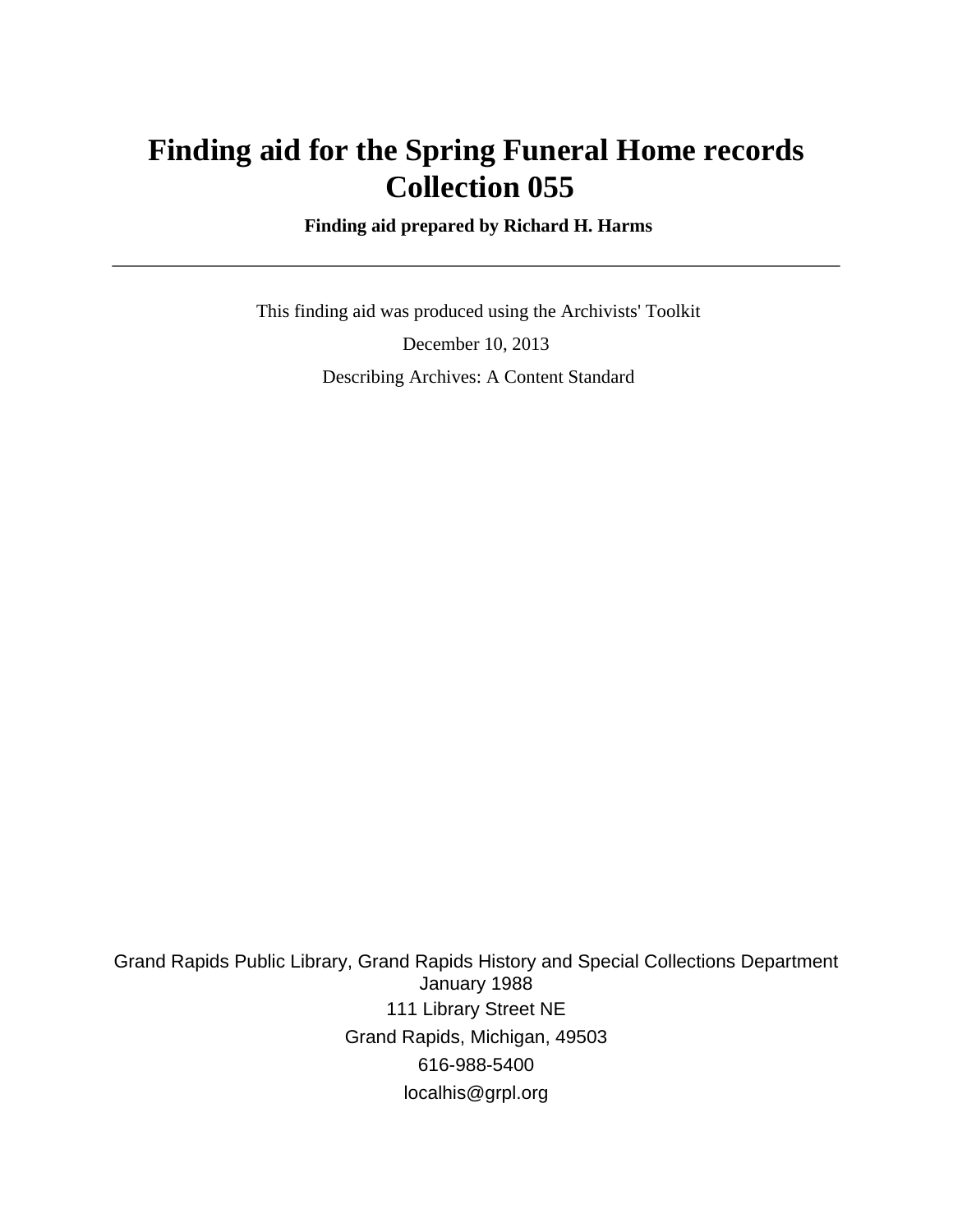# **Finding aid for the Spring Funeral Home records Collection 055**

 **Finding aid prepared by Richard H. Harms**

 This finding aid was produced using the Archivists' Toolkit December 10, 2013 Describing Archives: A Content Standard

Grand Rapids Public Library, Grand Rapids History and Special Collections Department January 1988 111 Library Street NE Grand Rapids, Michigan, 49503 616-988-5400 localhis@grpl.org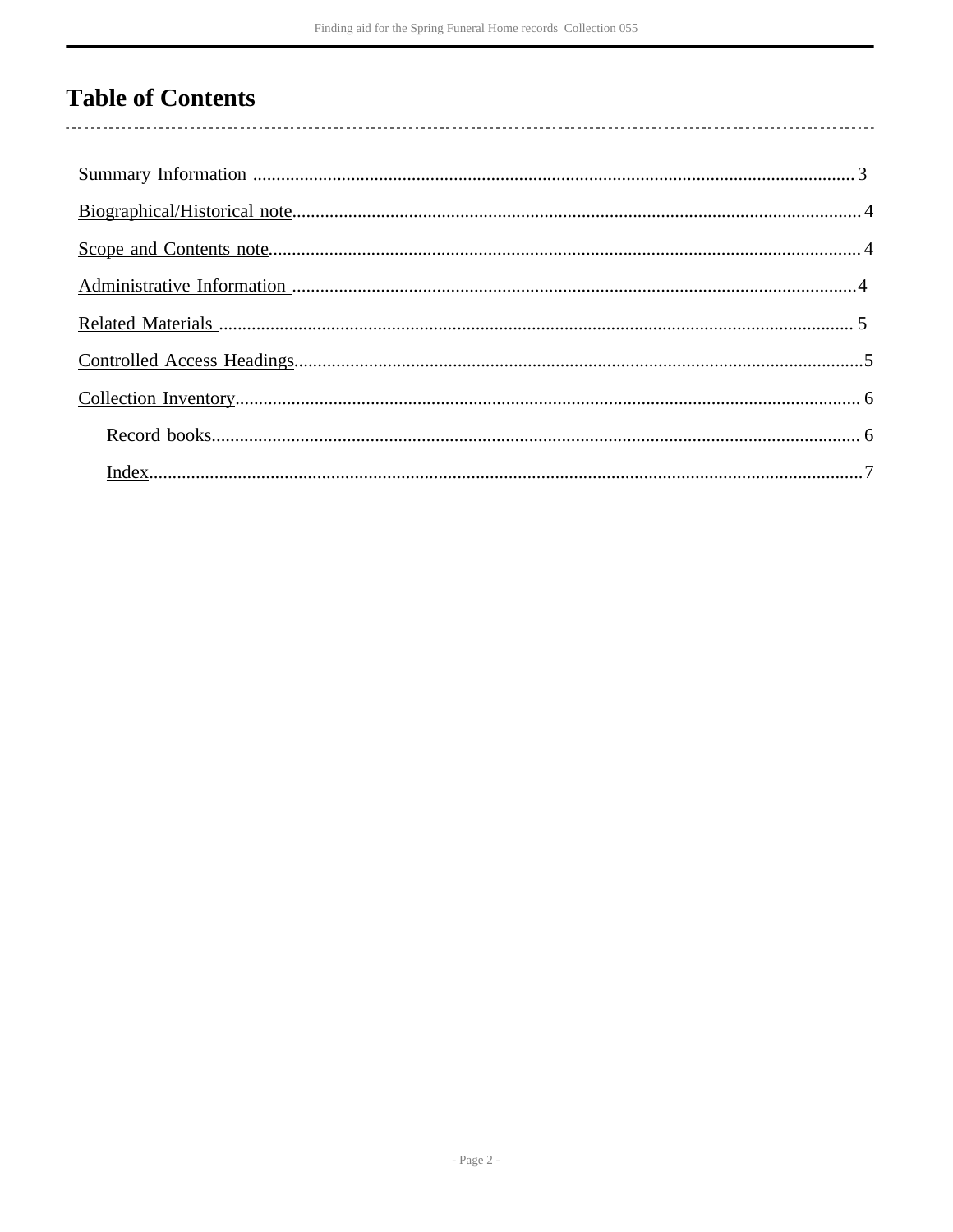## **Table of Contents**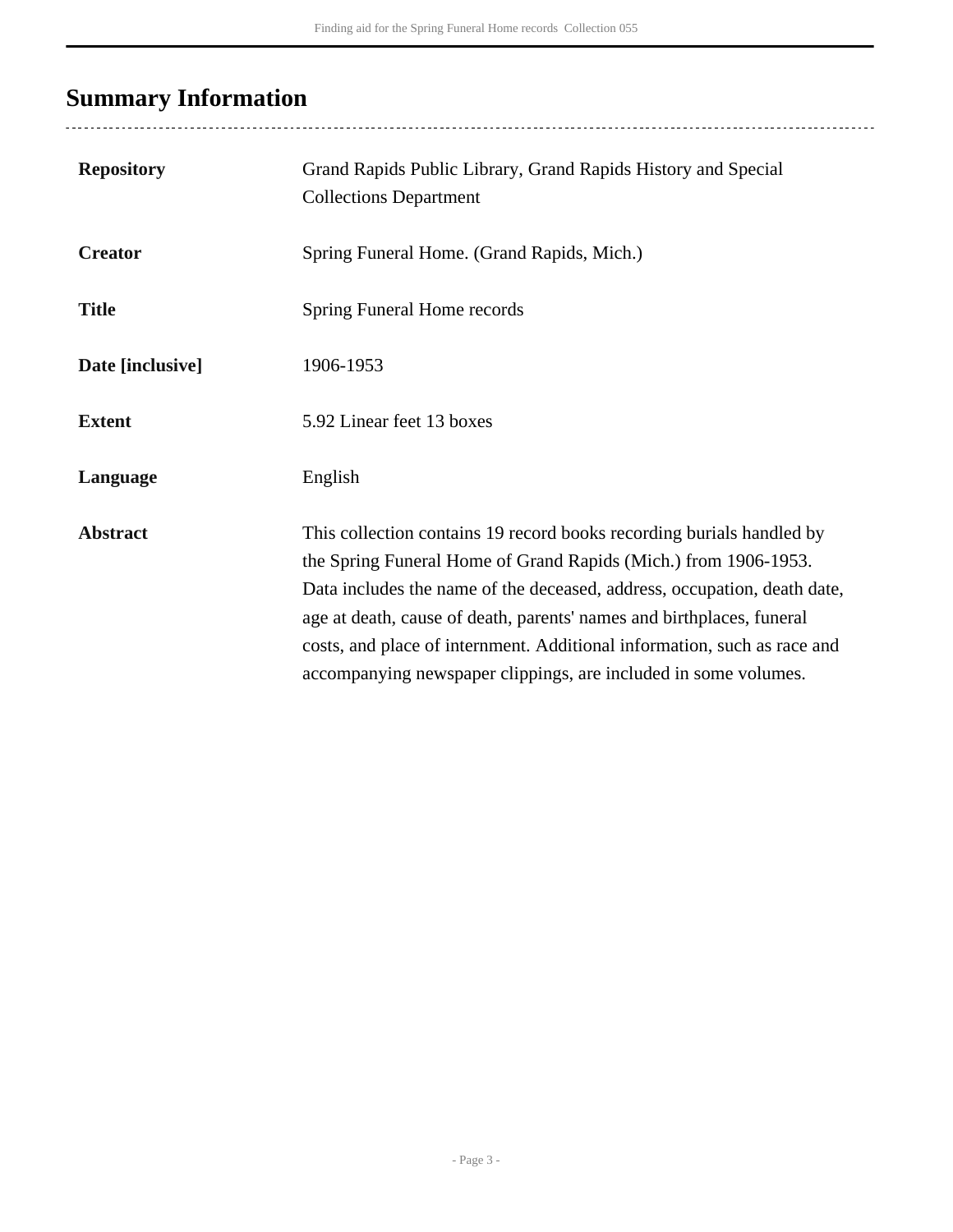# <span id="page-2-0"></span>**Summary Information**

| <b>Repository</b> | Grand Rapids Public Library, Grand Rapids History and Special<br><b>Collections Department</b>                                                                                                                                                                                                                                                                                                                                               |
|-------------------|----------------------------------------------------------------------------------------------------------------------------------------------------------------------------------------------------------------------------------------------------------------------------------------------------------------------------------------------------------------------------------------------------------------------------------------------|
| <b>Creator</b>    | Spring Funeral Home. (Grand Rapids, Mich.)                                                                                                                                                                                                                                                                                                                                                                                                   |
| <b>Title</b>      | Spring Funeral Home records                                                                                                                                                                                                                                                                                                                                                                                                                  |
| Date [inclusive]  | 1906-1953                                                                                                                                                                                                                                                                                                                                                                                                                                    |
| <b>Extent</b>     | 5.92 Linear feet 13 boxes                                                                                                                                                                                                                                                                                                                                                                                                                    |
| Language          | English                                                                                                                                                                                                                                                                                                                                                                                                                                      |
| <b>Abstract</b>   | This collection contains 19 record books recording burials handled by<br>the Spring Funeral Home of Grand Rapids (Mich.) from 1906-1953.<br>Data includes the name of the deceased, address, occupation, death date,<br>age at death, cause of death, parents' names and birthplaces, funeral<br>costs, and place of internment. Additional information, such as race and<br>accompanying newspaper clippings, are included in some volumes. |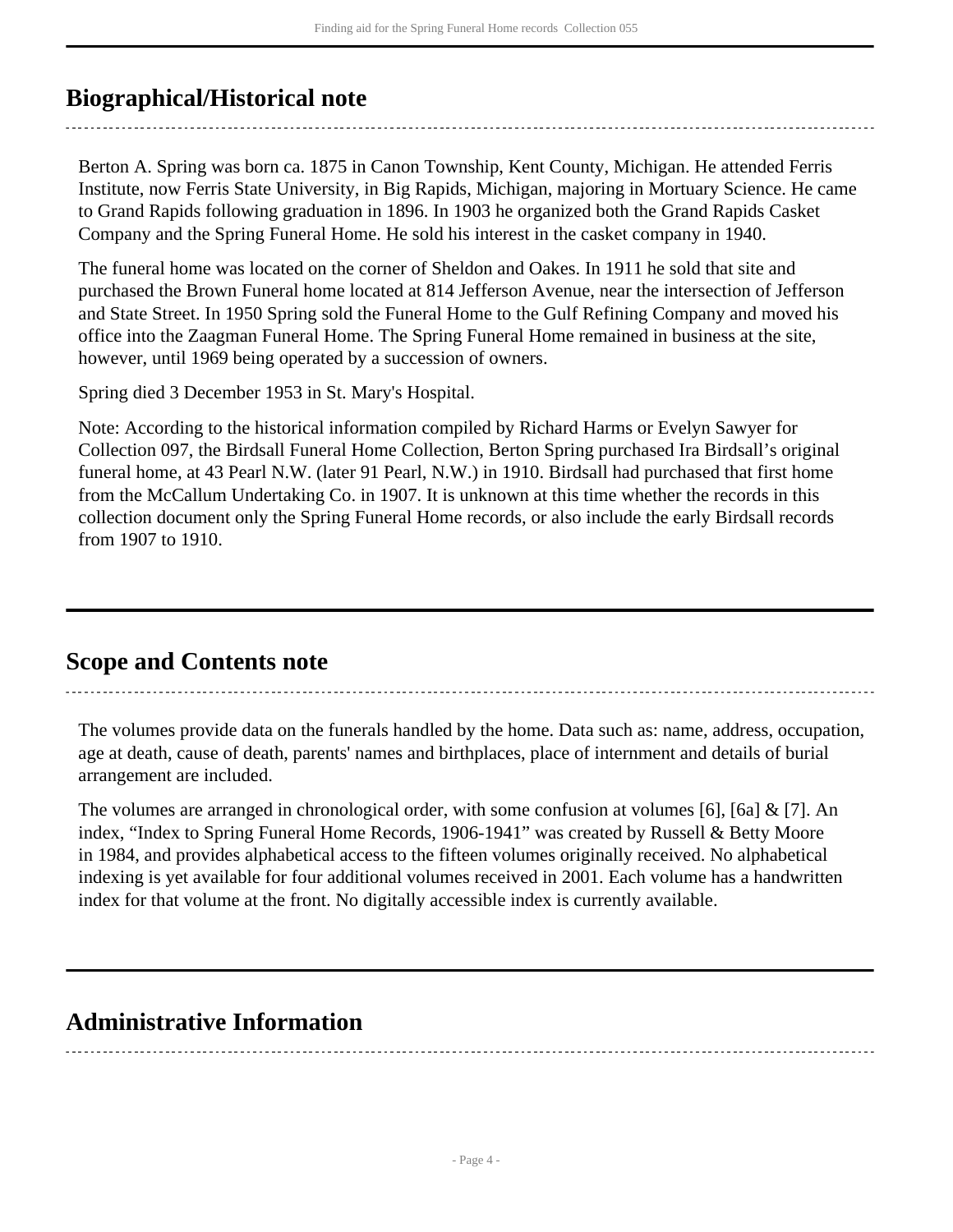## <span id="page-3-0"></span>**Biographical/Historical note**

Berton A. Spring was born ca. 1875 in Canon Township, Kent County, Michigan. He attended Ferris Institute, now Ferris State University, in Big Rapids, Michigan, majoring in Mortuary Science. He came to Grand Rapids following graduation in 1896. In 1903 he organized both the Grand Rapids Casket Company and the Spring Funeral Home. He sold his interest in the casket company in 1940.

The funeral home was located on the corner of Sheldon and Oakes. In 1911 he sold that site and purchased the Brown Funeral home located at 814 Jefferson Avenue, near the intersection of Jefferson and State Street. In 1950 Spring sold the Funeral Home to the Gulf Refining Company and moved his office into the Zaagman Funeral Home. The Spring Funeral Home remained in business at the site, however, until 1969 being operated by a succession of owners.

Spring died 3 December 1953 in St. Mary's Hospital.

Note: According to the historical information compiled by Richard Harms or Evelyn Sawyer for Collection 097, the Birdsall Funeral Home Collection, Berton Spring purchased Ira Birdsall's original funeral home, at 43 Pearl N.W. (later 91 Pearl, N.W.) in 1910. Birdsall had purchased that first home from the McCallum Undertaking Co. in 1907. It is unknown at this time whether the records in this collection document only the Spring Funeral Home records, or also include the early Birdsall records from 1907 to 1910.

### <span id="page-3-1"></span>**Scope and Contents note**

The volumes provide data on the funerals handled by the home. Data such as: name, address, occupation, age at death, cause of death, parents' names and birthplaces, place of internment and details of burial arrangement are included.

The volumes are arranged in chronological order, with some confusion at volumes [6], [6a] & [7]. An index, "Index to Spring Funeral Home Records, 1906-1941" was created by Russell & Betty Moore in 1984, and provides alphabetical access to the fifteen volumes originally received. No alphabetical indexing is yet available for four additional volumes received in 2001. Each volume has a handwritten index for that volume at the front. No digitally accessible index is currently available.

### <span id="page-3-2"></span>**Administrative Information**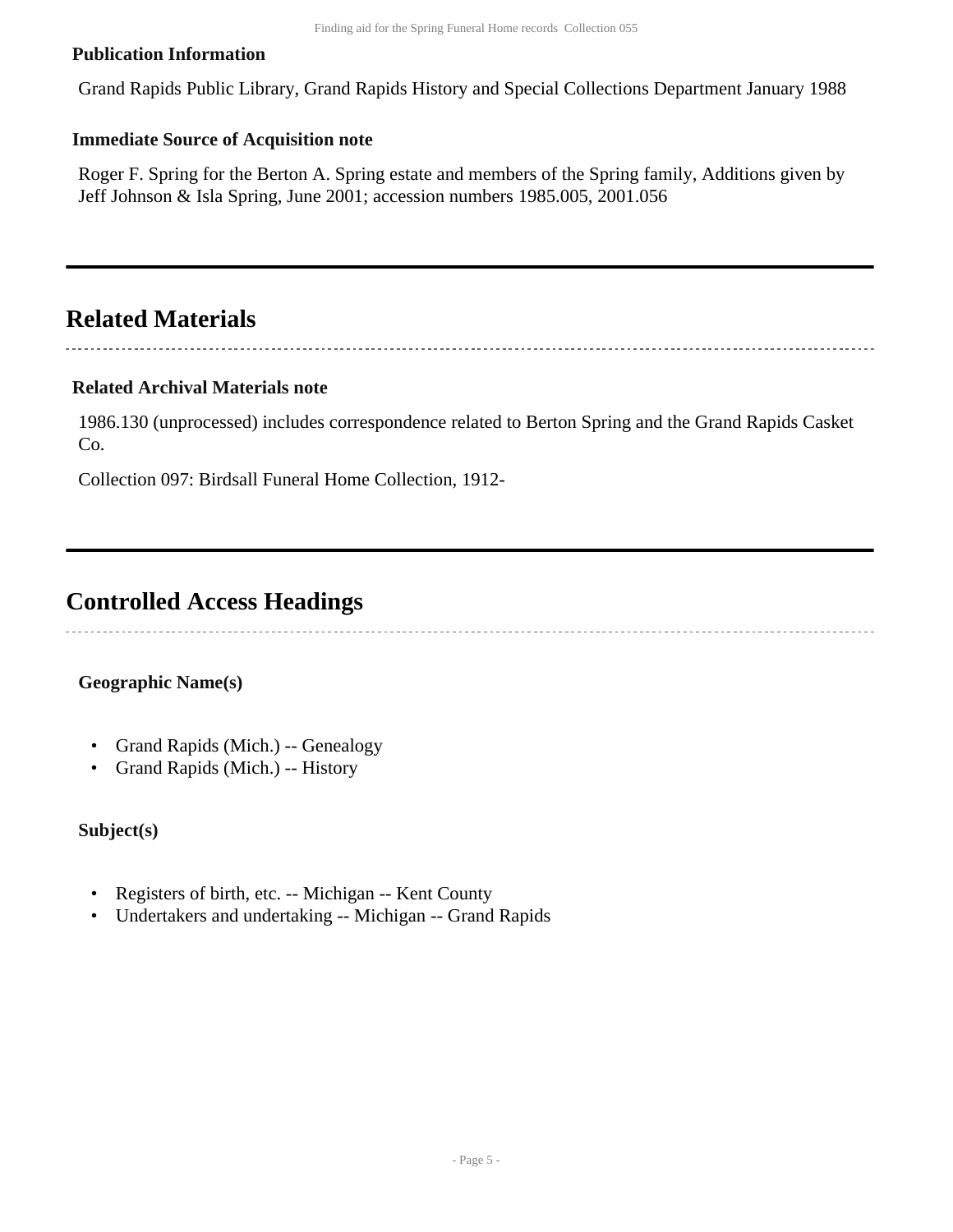#### **Publication Information**

Grand Rapids Public Library, Grand Rapids History and Special Collections Department January 1988

#### **Immediate Source of Acquisition note**

Roger F. Spring for the Berton A. Spring estate and members of the Spring family, Additions given by Jeff Johnson & Isla Spring, June 2001; accession numbers 1985.005, 2001.056

### <span id="page-4-0"></span>**Related Materials**

#### **Related Archival Materials note**

1986.130 (unprocessed) includes correspondence related to Berton Spring and the Grand Rapids Casket Co.

Collection 097: Birdsall Funeral Home Collection, 1912-

### <span id="page-4-1"></span>**Controlled Access Headings**

#### **Geographic Name(s)**

- Grand Rapids (Mich.) -- Genealogy
- Grand Rapids (Mich.) -- History

#### **Subject(s)**

- Registers of birth, etc. -- Michigan -- Kent County
- Undertakers and undertaking -- Michigan -- Grand Rapids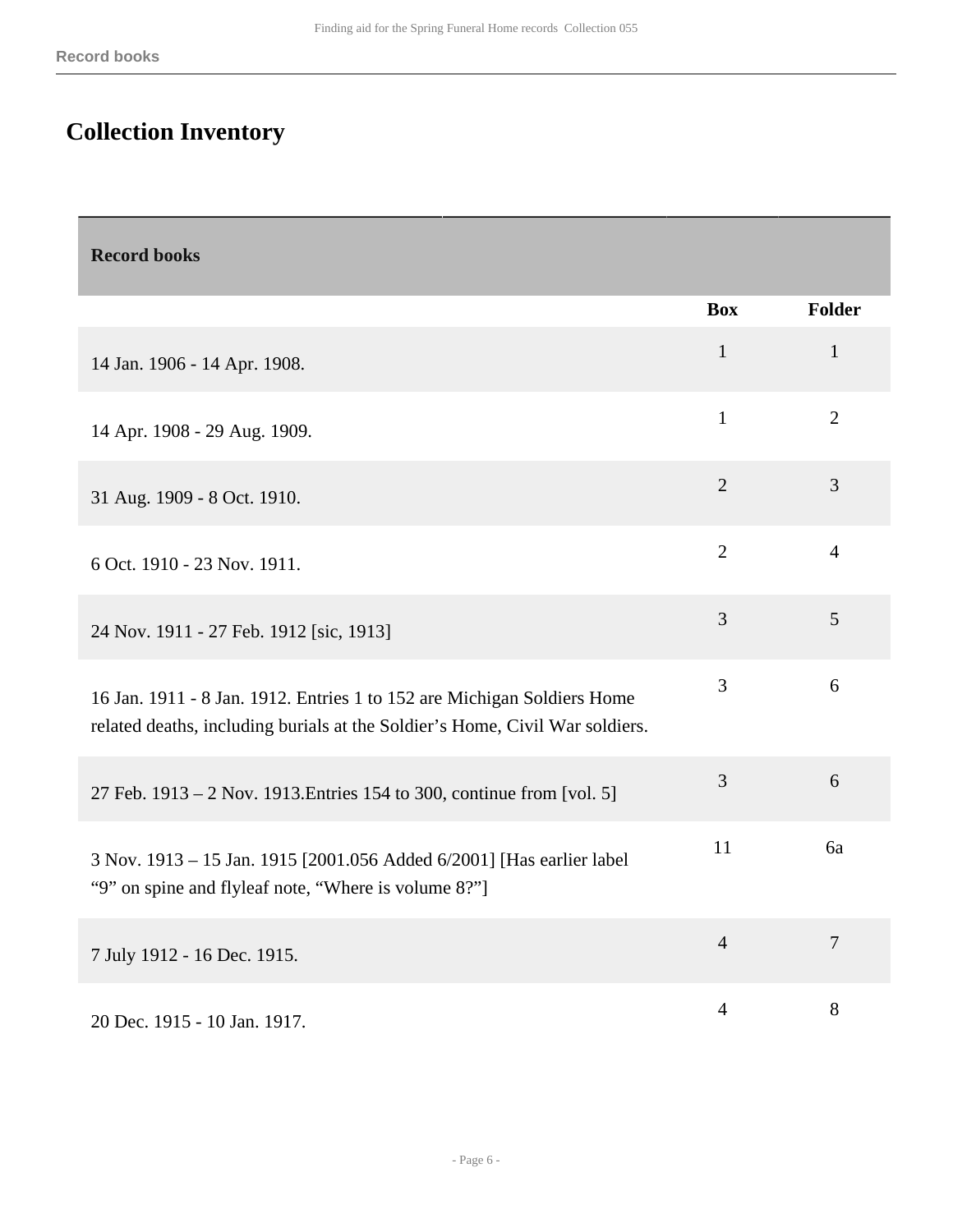## <span id="page-5-0"></span>**Collection Inventory**

<span id="page-5-1"></span>

| <b>Record books</b>                                                                                                                                     |                |                |
|---------------------------------------------------------------------------------------------------------------------------------------------------------|----------------|----------------|
|                                                                                                                                                         | <b>Box</b>     | Folder         |
| 14 Jan. 1906 - 14 Apr. 1908.                                                                                                                            | $\mathbf{1}$   | $\mathbf{1}$   |
| 14 Apr. 1908 - 29 Aug. 1909.                                                                                                                            | $\mathbf{1}$   | $\overline{2}$ |
| 31 Aug. 1909 - 8 Oct. 1910.                                                                                                                             | $\overline{2}$ | 3              |
| 6 Oct. 1910 - 23 Nov. 1911.                                                                                                                             | $\overline{2}$ | $\overline{4}$ |
| 24 Nov. 1911 - 27 Feb. 1912 [sic, 1913]                                                                                                                 | 3              | 5              |
| 16 Jan. 1911 - 8 Jan. 1912. Entries 1 to 152 are Michigan Soldiers Home<br>related deaths, including burials at the Soldier's Home, Civil War soldiers. | 3              | 6              |
| 27 Feb. 1913 – 2 Nov. 1913. Entries 154 to 300, continue from [vol. 5]                                                                                  | $\mathfrak{Z}$ | 6              |
| 3 Nov. 1913 - 15 Jan. 1915 [2001.056 Added 6/2001] [Has earlier label<br>"9" on spine and flyleaf note, "Where is volume 8?"]                           | 11             | 6a             |
| 7 July 1912 - 16 Dec. 1915.                                                                                                                             | $\overline{4}$ | $\overline{7}$ |
| 20 Dec. 1915 - 10 Jan. 1917.                                                                                                                            | $\overline{4}$ | 8              |